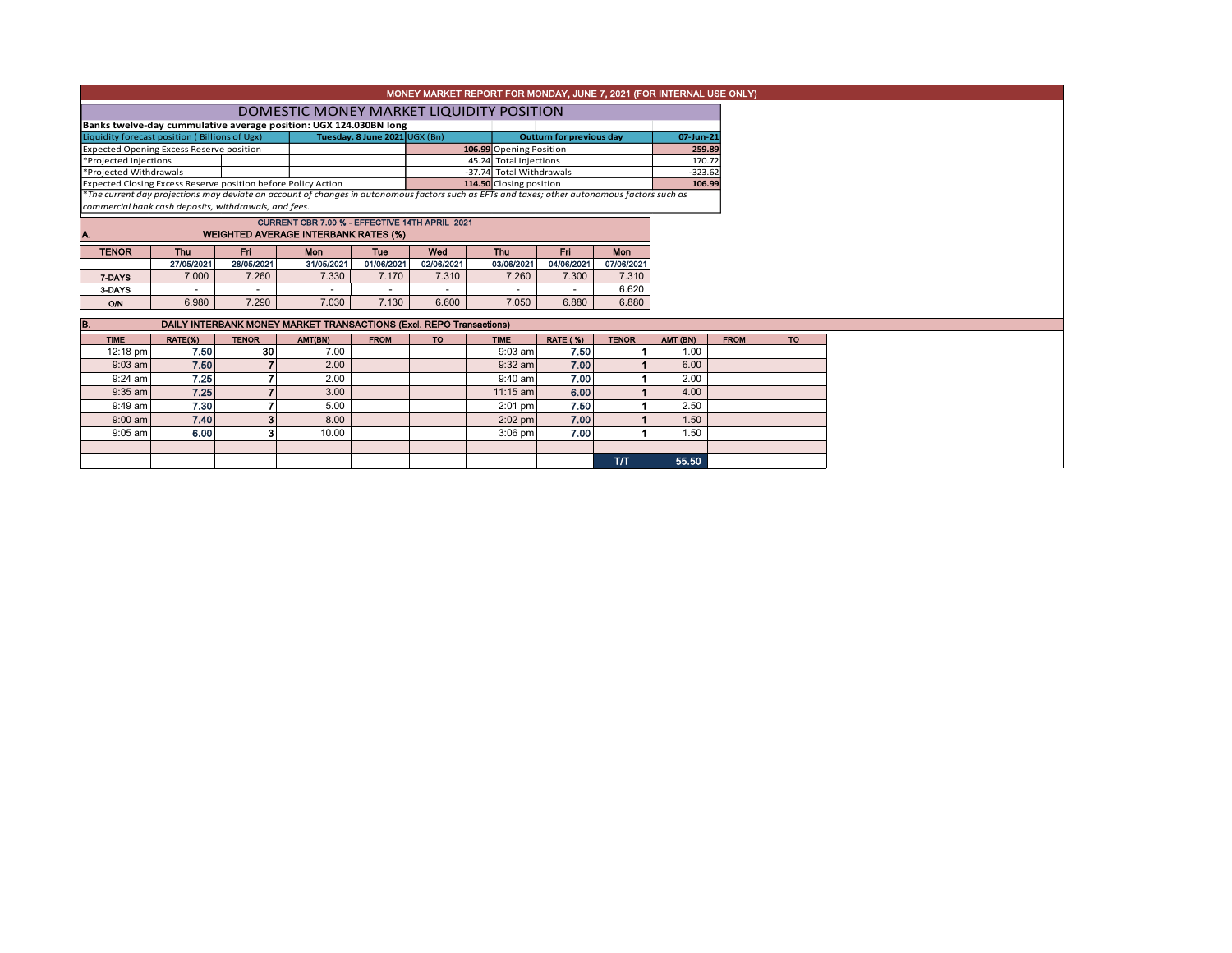| MONEY MARKET REPORT FOR MONDAY, JUNE 7, 2021 (FOR INTERNAL USE ONLY) |            |              |                                                                                                                                               |                               |            |                          |                                 |              |           |             |  |  |
|----------------------------------------------------------------------|------------|--------------|-----------------------------------------------------------------------------------------------------------------------------------------------|-------------------------------|------------|--------------------------|---------------------------------|--------------|-----------|-------------|--|--|
| DOMESTIC MONEY MARKET LIQUIDITY POSITION                             |            |              |                                                                                                                                               |                               |            |                          |                                 |              |           |             |  |  |
| Banks twelve-day cummulative average position: UGX 124.030BN long    |            |              |                                                                                                                                               |                               |            |                          |                                 |              |           |             |  |  |
| Liquidity forecast position (Billions of Ugx)                        |            |              |                                                                                                                                               | Tuesday, 8 June 2021 UGX (Bn) |            |                          | <b>Outturn for previous day</b> |              |           | 07-Jun-21   |  |  |
| <b>Expected Opening Excess Reserve position</b>                      |            |              |                                                                                                                                               |                               |            |                          | 106.99 Opening Position         |              |           | 259.89      |  |  |
| *Projected Injections                                                |            |              |                                                                                                                                               |                               |            | 45.24 Total Injections   |                                 |              | 170.72    |             |  |  |
| *Projected Withdrawals                                               |            |              |                                                                                                                                               |                               |            | -37.74 Total Withdrawals |                                 |              | $-323.62$ |             |  |  |
| Expected Closing Excess Reserve position before Policy Action        |            |              |                                                                                                                                               |                               |            | 114.50 Closing position  |                                 |              | 106.99    |             |  |  |
|                                                                      |            |              | *The current day projections may deviate on account of changes in autonomous factors such as EFTs and taxes; other autonomous factors such as |                               |            |                          |                                 |              |           |             |  |  |
| commercial bank cash deposits, withdrawals, and fees.                |            |              |                                                                                                                                               |                               |            |                          |                                 |              |           |             |  |  |
|                                                                      |            |              | CURRENT CBR 7.00 % - EFFECTIVE 14TH APRIL 2021                                                                                                |                               |            |                          |                                 |              |           |             |  |  |
| Α.                                                                   |            |              | <b>WEIGHTED AVERAGE INTERBANK RATES (%)</b>                                                                                                   |                               |            |                          |                                 |              |           |             |  |  |
| <b>TENOR</b>                                                         | Thu        | <b>Fri</b>   | <b>Mon</b>                                                                                                                                    | Tue                           | Wed        | <b>Thu</b>               | <b>Fri</b>                      | Mon          |           |             |  |  |
|                                                                      | 27/05/2021 | 28/05/2021   | 31/05/2021                                                                                                                                    | 01/06/2021                    | 02/06/2021 | 03/06/2021               | 04/06/2021                      | 07/06/2021   |           |             |  |  |
| 7-DAYS                                                               | 7.000      | 7.260        | 7.330                                                                                                                                         | 7.170                         | 7.310      | 7.260                    | 7.300                           | 7.310        |           |             |  |  |
| 3-DAYS                                                               |            |              |                                                                                                                                               |                               |            |                          |                                 | 6.620        |           |             |  |  |
| O/N                                                                  | 6.980      | 7.290        | 7.030                                                                                                                                         | 7.130                         | 6.600      | 7.050                    | 6.880                           | 6.880        |           |             |  |  |
|                                                                      |            |              |                                                                                                                                               |                               |            |                          |                                 |              |           |             |  |  |
| B.                                                                   |            |              | DAILY INTERBANK MONEY MARKET TRANSACTIONS (Excl. REPO Transactions)                                                                           |                               |            |                          |                                 |              |           |             |  |  |
| <b>TIME</b>                                                          | RATE(%)    | <b>TENOR</b> | AMT(BN)                                                                                                                                       | <b>FROM</b>                   | <b>TO</b>  | <b>TIME</b>              | <b>RATE (%)</b>                 | <b>TENOR</b> | AMT (BN)  | <b>FROM</b> |  |  |
| $12:18 \text{ pm}$                                                   | 7.50       | 30           | 7.00                                                                                                                                          |                               |            | $9:03$ am                | 7.50                            |              | 1.00      |             |  |  |
| $9:03$ am                                                            | 7.50       |              | 2.00                                                                                                                                          |                               |            | $9:32$ am                | 7.00                            |              | 6.00      |             |  |  |
| $9:24$ am                                                            | 7.25       | 7            | 2.00                                                                                                                                          |                               |            | $9:40$ am                | 7.00                            |              | 2.00      |             |  |  |
| $9:35$ am                                                            | 7.25       | 7            | 3.00                                                                                                                                          |                               |            | $11:15$ am               | 6.00                            |              | 4.00      |             |  |  |
| $9:49$ am                                                            | 7.30       | 7            | 5.00                                                                                                                                          |                               |            | $2:01$ pm                | 7.50                            |              | 2.50      |             |  |  |

T/T 55.50

 $\mathcal{L}(\mathcal{L}^{\mathcal{L}}_{\mathcal{L}})$  and  $\mathcal{L}^{\mathcal{L}}_{\mathcal{L}}$  and  $\mathcal{L}^{\mathcal{L}}_{\mathcal{L}}$  and  $\mathcal{L}^{\mathcal{L}}_{\mathcal{L}}$  and  $\mathcal{L}^{\mathcal{L}}_{\mathcal{L}}$ 

9:00 am| 7.40| 3| 8.00| | 2:02 pm| 7.00| 1| 1.50 9:05 am $|\qquad \quad$  6.00 $|\qquad \quad \quad$  3 $|\qquad \quad$  10.00  $|\qquad \quad | \qquad \quad \quad$  3:06 pm  $|\qquad \quad$  7.00  $|\qquad \quad \quad$  1.50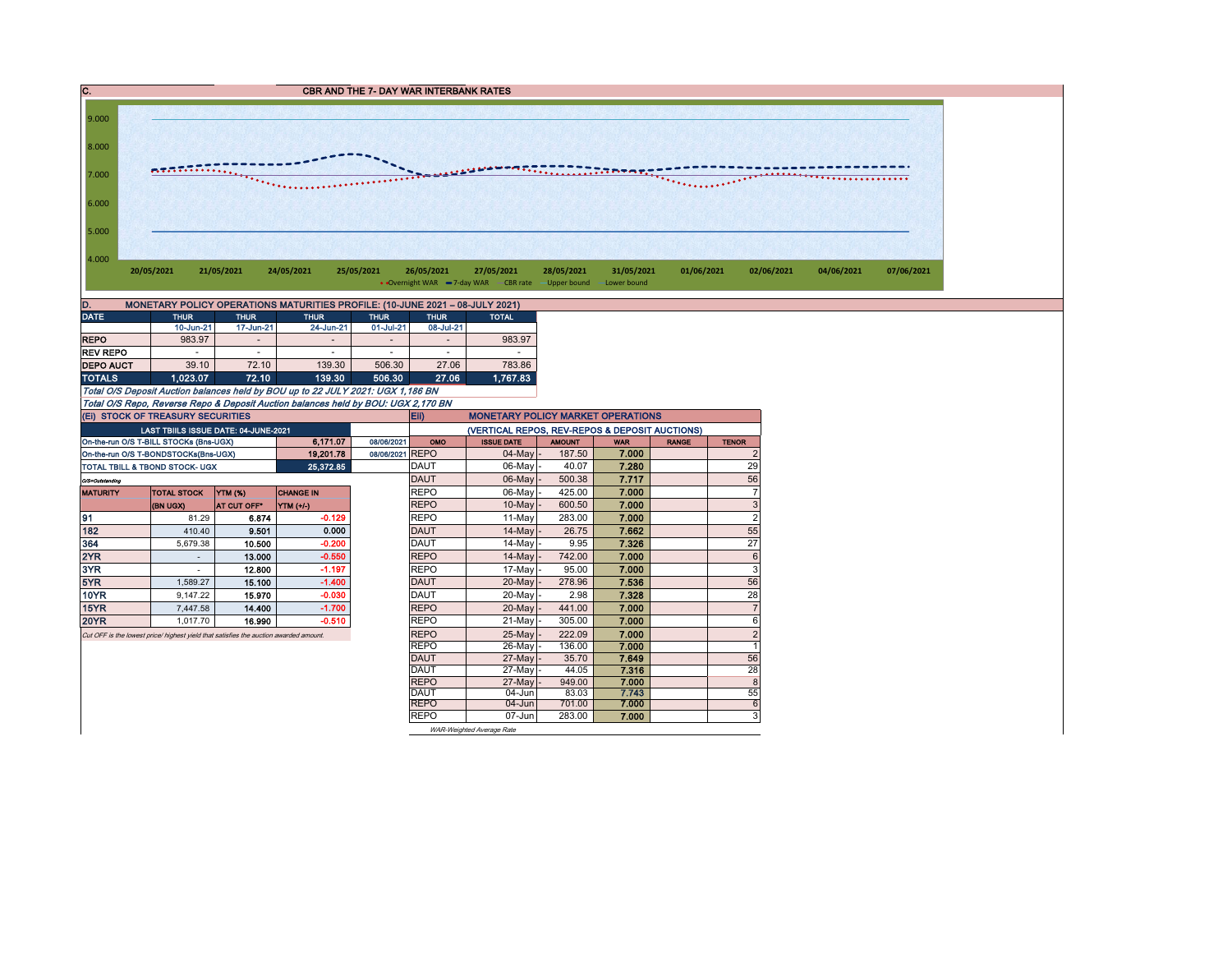|   | <b>CBR AND THE 7- DAY WAR INTERBANK RATES</b> |
|---|-----------------------------------------------|
| . |                                               |



| D.               | MONETARY POLICY OPERATIONS MATURITIES PROFILE: (10-JUNE 2021 - 08-JULY 2021) |                          |                          |             |                          |              |  |  |  |  |  |  |  |
|------------------|------------------------------------------------------------------------------|--------------------------|--------------------------|-------------|--------------------------|--------------|--|--|--|--|--|--|--|
| <b>DATE</b>      | <b>THUR</b>                                                                  | <b>THUR</b>              | <b>THUR</b>              | <b>THUR</b> | <b>THUR</b>              | <b>TOTAL</b> |  |  |  |  |  |  |  |
|                  | 10-Jun-21                                                                    | 17-Jun-21                | 24-Jun-21                | 01-Jul-21   | 08-Jul-21                |              |  |  |  |  |  |  |  |
| <b>REPO</b>      | 983.97                                                                       | $\overline{\phantom{a}}$ | $\overline{a}$           | -           | $\overline{\phantom{a}}$ | 983.97       |  |  |  |  |  |  |  |
| <b>REV REPO</b>  |                                                                              | ۰                        | $\overline{\phantom{a}}$ | ۰           | ۰                        |              |  |  |  |  |  |  |  |
| <b>DEPO AUCT</b> | 39.10                                                                        | 72.10                    | 139.30                   | 506.30      | 27.06                    | 783.86       |  |  |  |  |  |  |  |
| <b>TOTALS</b>    | 1.023.07                                                                     | 72.10                    | 139.30                   | 506.30      | 27.06                    | 1.767.83     |  |  |  |  |  |  |  |

Total O/S Deposit Auction balances held by BOU up to 22 JULY 2021: UGX 1,186 BN Total O/S Repo, Reverse Repo & Deposit Auction balances held by BOU: UGX 2,170 BN

| (EI) STOCK OF TREASURY SECURITIES    |                                                                                       |                |                  |            |             | Eii)<br><b>MONETARY POLICY MARKET OPERATIONS</b> |               |                |              |                |  |  |  |
|--------------------------------------|---------------------------------------------------------------------------------------|----------------|------------------|------------|-------------|--------------------------------------------------|---------------|----------------|--------------|----------------|--|--|--|
|                                      | LAST TBIILS ISSUE DATE: 04-JUNE-2021                                                  |                |                  |            |             | (VERTICAL REPOS, REV-REPOS & DEPOSIT AUCTIONS)   |               |                |              |                |  |  |  |
|                                      | On-the-run O/S T-BILL STOCKs (Bns-UGX)                                                |                | 6.171.07         | 08/06/2021 | OMO         | <b>ISSUE DATE</b>                                | <b>AMOUNT</b> | <b>WAR</b>     | <b>RANGE</b> | <b>TENOR</b>   |  |  |  |
| On-the-run O/S T-BONDSTOCKs(Bns-UGX) |                                                                                       | 08/06/2021     | <b>REPO</b>      | 04-May     | 187.50      | 7.000                                            |               | $\overline{2}$ |              |                |  |  |  |
| TOTAL TBILL & TBOND STOCK- UGX       |                                                                                       |                | 25,372.85        |            | <b>DAUT</b> | 06-May                                           | 40.07         | 7.280          |              | 29             |  |  |  |
| O/S=Outstanding                      |                                                                                       |                | <b>DAUT</b>      | 06-May     | 500.38      | 7.717                                            |               | 56             |              |                |  |  |  |
| <b>MATURITY</b>                      | <b>TOTAL STOCK</b>                                                                    | <b>YTM (%)</b> | <b>CHANGE IN</b> |            | <b>REPO</b> | 06-May                                           | 425.00        | 7.000          |              | 7              |  |  |  |
|                                      | (BN UGX)                                                                              | AT CUT OFF*    | YTM (+/-)        |            | <b>REPO</b> | $10$ -May $\vert$ -                              | 600.50        | 7.000          |              | 3              |  |  |  |
| 91                                   | 81.29                                                                                 | 6.874          | $-0.129$         |            | <b>REPO</b> | 11-May                                           | 283.00        | 7.000          |              | $\overline{2}$ |  |  |  |
| 182                                  | 410.40                                                                                | 9.501          | 0.000            |            | <b>DAUT</b> | $14$ -May $-$                                    | 26.75         | 7.662          |              | 55             |  |  |  |
| 364                                  | 5,679.38                                                                              | 10.500         | $-0.200$         |            | <b>DAUT</b> | $14$ -May -                                      | 9.95          | 7.326          |              | 27             |  |  |  |
| 2YR                                  |                                                                                       | 13.000         | $-0.550$         |            | <b>REPO</b> | $14$ -Mayl-                                      | 742.00        | 7.000          |              | 6              |  |  |  |
| 3YR                                  |                                                                                       | 12.800         | $-1.197$         |            | <b>REPO</b> | 17-May -                                         | 95.00         | 7.000          |              | 3              |  |  |  |
| 5YR                                  | 1.589.27                                                                              | 15.100         | $-1.400$         |            | <b>DAUT</b> | 20-May -                                         | 278.96        | 7.536          |              | 56             |  |  |  |
| 10YR                                 | 9.147.22                                                                              | 15.970         | $-0.030$         |            | <b>DAUT</b> | 20-May -                                         | 2.98          | 7.328          |              | 28             |  |  |  |
| 15YR                                 | 7.447.58                                                                              | 14.400         | $-1.700$         |            | <b>REPO</b> | $20$ -May $-$                                    | 441.00        | 7.000          |              |                |  |  |  |
| <b>20YR</b>                          | 1.017.70                                                                              | 16.990         | $-0.510$         |            | <b>REPO</b> | 21-May                                           | 305.00        | 7.000          |              | 6              |  |  |  |
|                                      | Cut OFF is the lowest price/ highest yield that satisfies the auction awarded amount. |                |                  |            | <b>REPO</b> | 25-May -                                         | 222.09        | 7.000          |              | $\overline{2}$ |  |  |  |
|                                      |                                                                                       |                |                  |            | <b>REPO</b> | 26-May                                           | 136.00        | 7.000          |              |                |  |  |  |
|                                      |                                                                                       |                |                  |            | DAUT        | 27-May -                                         | 35.70         | 7.649          |              | 56             |  |  |  |
|                                      |                                                                                       |                |                  |            | <b>DAUT</b> | 27-May -                                         | 44.05         | 7.316          |              | 28             |  |  |  |
|                                      |                                                                                       |                |                  |            | <b>REPO</b> | 27-May -                                         | 949.00        | 7.000          |              | 8              |  |  |  |
|                                      |                                                                                       |                |                  |            | <b>DAUT</b> | 04-Jun                                           | 83.03         | 7.743          |              | 55             |  |  |  |
|                                      |                                                                                       |                |                  |            | <b>REPO</b> | $04 - Jun$                                       | 701.00        | 7.000          |              | 6              |  |  |  |
|                                      |                                                                                       |                |                  |            | <b>REPO</b> | 07-Jun                                           | 283.00        | 7.000          |              | 3              |  |  |  |
|                                      |                                                                                       |                |                  |            |             | WAR-Weighted Average Rate                        |               |                |              |                |  |  |  |